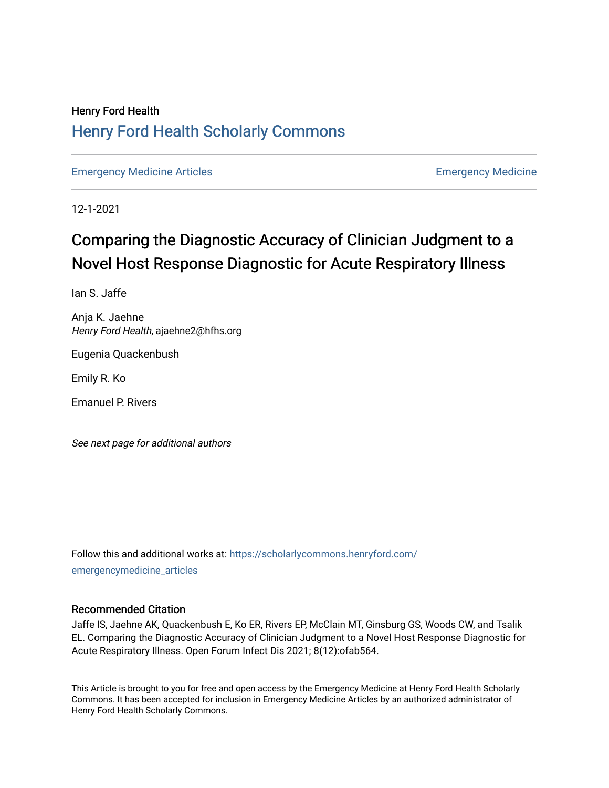# Henry Ford Health [Henry Ford Health Scholarly Commons](https://scholarlycommons.henryford.com/)

[Emergency Medicine Articles](https://scholarlycommons.henryford.com/emergencymedicine_articles) **Emergency Medicine** 

12-1-2021

# Comparing the Diagnostic Accuracy of Clinician Judgment to a Novel Host Response Diagnostic for Acute Respiratory Illness

Ian S. Jaffe

Anja K. Jaehne Henry Ford Health, ajaehne2@hfhs.org

Eugenia Quackenbush

Emily R. Ko

Emanuel P. Rivers

See next page for additional authors

Follow this and additional works at: [https://scholarlycommons.henryford.com/](https://scholarlycommons.henryford.com/emergencymedicine_articles?utm_source=scholarlycommons.henryford.com%2Femergencymedicine_articles%2F256&utm_medium=PDF&utm_campaign=PDFCoverPages) [emergencymedicine\\_articles](https://scholarlycommons.henryford.com/emergencymedicine_articles?utm_source=scholarlycommons.henryford.com%2Femergencymedicine_articles%2F256&utm_medium=PDF&utm_campaign=PDFCoverPages) 

# Recommended Citation

Jaffe IS, Jaehne AK, Quackenbush E, Ko ER, Rivers EP, McClain MT, Ginsburg GS, Woods CW, and Tsalik EL. Comparing the Diagnostic Accuracy of Clinician Judgment to a Novel Host Response Diagnostic for Acute Respiratory Illness. Open Forum Infect Dis 2021; 8(12):ofab564.

This Article is brought to you for free and open access by the Emergency Medicine at Henry Ford Health Scholarly Commons. It has been accepted for inclusion in Emergency Medicine Articles by an authorized administrator of Henry Ford Health Scholarly Commons.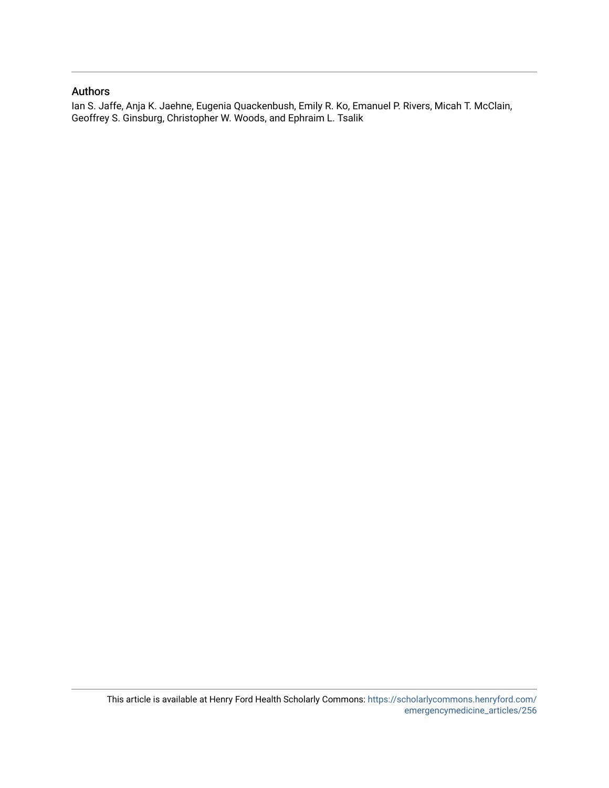# Authors

Ian S. Jaffe, Anja K. Jaehne, Eugenia Quackenbush, Emily R. Ko, Emanuel P. Rivers, Micah T. McClain, Geoffrey S. Ginsburg, Christopher W. Woods, and Ephraim L. Tsalik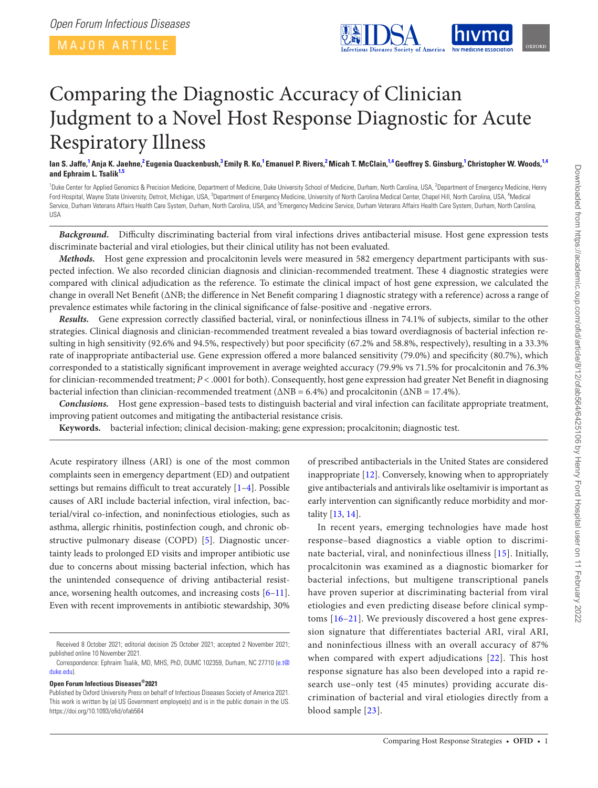MAJOR ARTICLE

<span id="page-2-3"></span>

# Comparing the Diagnostic Accuracy of Clinician Judgment to a Novel Host Response Diagnostic for Acute Respiratory Illness

lan S. Jaffe,<sup>[1](#page-2-0)</sup> Anja K. Jaehne,<sup>[2](#page-2-1)</sup> Eugenia Quackenbush,<sup>[3](#page-2-2)</sup> Emily R. Ko,<sup>1</sup> Emanuel P. Rivers,<sup>2</sup> Micah T. McClain,<sup>1[,4](#page-2-3)</sup> Geoffrey S. Ginsburg,<sup>1</sup> Christopher W. Woods,<sup>1,4</sup> **and Ephraim L. Tsalik[1](#page-2-0)[,5](#page-2-4)**

<span id="page-2-4"></span><span id="page-2-2"></span><span id="page-2-1"></span><span id="page-2-0"></span><sup>1</sup>Duke Center for Applied Genomics & Precision Medicine, Department of Medicine, Duke University School of Medicine, Durham, North Carolina, USA, <sup>2</sup>Department of Emergency Medicine, Henry Ford Hospital, Wayne State University, Detroit, Michigan, USA, <sup>3</sup>Department of Emergency Medicine, University of North Carolina Medical Center, Chapel Hill, North Carolina, USA, <sup>4</sup>Medical Service, Durham Veterans Affairs Health Care System, Durham, North Carolina, USA, and <sup>5</sup>Emergency Medicine Service, Durham Veterans Affairs Health Care System, Durham, North Carolina, USA

*Background.* Difficulty discriminating bacterial from viral infections drives antibacterial misuse. Host gene expression tests discriminate bacterial and viral etiologies, but their clinical utility has not been evaluated.

*Methods.* Host gene expression and procalcitonin levels were measured in 582 emergency department participants with suspected infection. We also recorded clinician diagnosis and clinician-recommended treatment. These 4 diagnostic strategies were compared with clinical adjudication as the reference. To estimate the clinical impact of host gene expression, we calculated the change in overall Net Benefit (∆NB; the difference in Net Benefit comparing 1 diagnostic strategy with a reference) across a range of prevalence estimates while factoring in the clinical significance of false-positive and -negative errors.

*Results.* Gene expression correctly classified bacterial, viral, or noninfectious illness in 74.1% of subjects, similar to the other strategies. Clinical diagnosis and clinician-recommended treatment revealed a bias toward overdiagnosis of bacterial infection resulting in high sensitivity (92.6% and 94.5%, respectively) but poor specificity (67.2% and 58.8%, respectively), resulting in a 33.3% rate of inappropriate antibacterial use. Gene expression offered a more balanced sensitivity (79.0%) and specificity (80.7%), which corresponded to a statistically significant improvement in average weighted accuracy (79.9% vs 71.5% for procalcitonin and 76.3% for clinician-recommended treatment; *P* < .0001 for both). Consequently, host gene expression had greater Net Benefit in diagnosing bacterial infection than clinician-recommended treatment (∆NB = 6.4%) and procalcitonin (∆NB = 17.4%).

*Conclusions.* Host gene expression–based tests to distinguish bacterial and viral infection can facilitate appropriate treatment, improving patient outcomes and mitigating the antibacterial resistance crisis.

**Keywords.** bacterial infection; clinical decision-making; gene expression; procalcitonin; diagnostic test.

Acute respiratory illness (ARI) is one of the most common complaints seen in emergency department (ED) and outpatient settings but remains difficult to treat accurately [\[1](#page-8-0)–[4\]](#page-9-0). Possible causes of ARI include bacterial infection, viral infection, bacterial/viral co-infection, and noninfectious etiologies, such as asthma, allergic rhinitis, postinfection cough, and chronic obstructive pulmonary disease (COPD) [[5](#page-9-1)]. Diagnostic uncertainty leads to prolonged ED visits and improper antibiotic use due to concerns about missing bacterial infection, which has the unintended consequence of driving antibacterial resistance, worsening health outcomes, and increasing costs [[6](#page-9-2)[–11\]](#page-9-3). Even with recent improvements in antibiotic stewardship, 30%

**Open Forum Infectious Diseases®2021**

of prescribed antibacterials in the United States are considered inappropriate [\[12](#page-9-4)]. Conversely, knowing when to appropriately give antibacterials and antivirals like oseltamivir is important as early intervention can significantly reduce morbidity and mortality [[13,](#page-9-5) [14](#page-9-6)].

In recent years, emerging technologies have made host response–based diagnostics a viable option to discriminate bacterial, viral, and noninfectious illness [[15\]](#page-9-7). Initially, procalcitonin was examined as a diagnostic biomarker for bacterial infections, but multigene transcriptional panels have proven superior at discriminating bacterial from viral etiologies and even predicting disease before clinical symptoms [[16](#page-9-8)[–21\]](#page-9-9). We previously discovered a host gene expression signature that differentiates bacterial ARI, viral ARI, and noninfectious illness with an overall accuracy of 87% when compared with expert adjudications [[22\]](#page-9-10). This host response signature has also been developed into a rapid research use–only test (45 minutes) providing accurate discrimination of bacterial and viral etiologies directly from a blood sample [[23](#page-9-11)].

Received 8 October 2021; editorial decision 25 October 2021; accepted 2 November 2021; published online 10 November 2021.

Correspondence: Ephraim Tsalik, MD, MHS, PhD, DUMC 102359, Durham, NC 27710 ([e.t@](mailto:e.t%40duke.edu?subject=) [duke.edu](mailto:e.t%40duke.edu?subject=)).

Published by Oxford University Press on behalf of Infectious Diseases Society of America 2021. This work is written by (a) US Government employee(s) and is in the public domain in the US. https://doi.org/10.1093/ofid/ofab564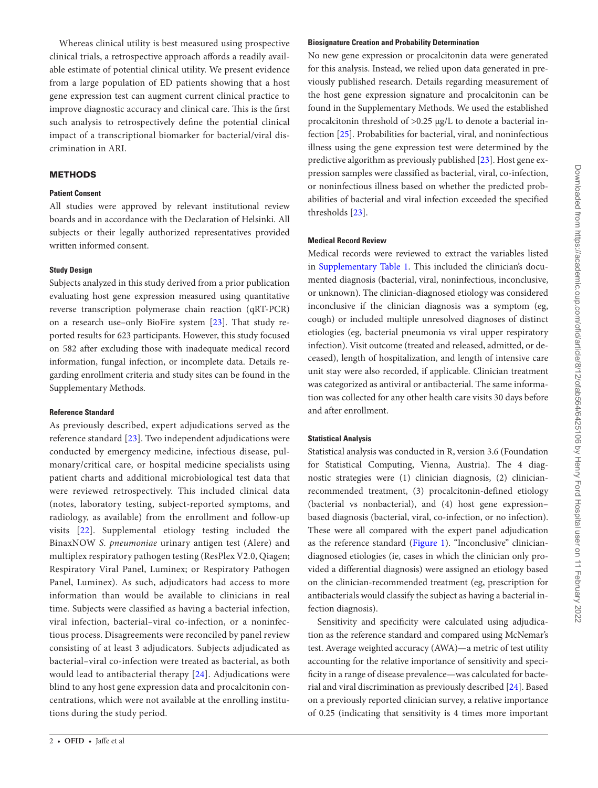Whereas clinical utility is best measured using prospective clinical trials, a retrospective approach affords a readily available estimate of potential clinical utility. We present evidence from a large population of ED patients showing that a host gene expression test can augment current clinical practice to improve diagnostic accuracy and clinical care. This is the first such analysis to retrospectively define the potential clinical impact of a transcriptional biomarker for bacterial/viral discrimination in ARI.

# **METHODS**

# **Patient Consent**

All studies were approved by relevant institutional review boards and in accordance with the Declaration of Helsinki. All subjects or their legally authorized representatives provided written informed consent.

## **Study Design**

Subjects analyzed in this study derived from a prior publication evaluating host gene expression measured using quantitative reverse transcription polymerase chain reaction (qRT-PCR) on a research use–only BioFire system [[23\]](#page-9-11). That study reported results for 623 participants. However, this study focused on 582 after excluding those with inadequate medical record information, fungal infection, or incomplete data. Details regarding enrollment criteria and study sites can be found in the Supplementary Methods.

#### **Reference Standard**

As previously described, expert adjudications served as the reference standard [[23\]](#page-9-11). Two independent adjudications were conducted by emergency medicine, infectious disease, pulmonary/critical care, or hospital medicine specialists using patient charts and additional microbiological test data that were reviewed retrospectively. This included clinical data (notes, laboratory testing, subject-reported symptoms, and radiology, as available) from the enrollment and follow-up visits [[22](#page-9-10)]. Supplemental etiology testing included the BinaxNOW *S. pneumoniae* urinary antigen test (Alere) and multiplex respiratory pathogen testing (ResPlex V2.0, Qiagen; Respiratory Viral Panel, Luminex; or Respiratory Pathogen Panel, Luminex). As such, adjudicators had access to more information than would be available to clinicians in real time. Subjects were classified as having a bacterial infection, viral infection, bacterial–viral co-infection, or a noninfectious process. Disagreements were reconciled by panel review consisting of at least 3 adjudicators. Subjects adjudicated as bacterial–viral co-infection were treated as bacterial, as both would lead to antibacterial therapy [[24](#page-9-12)]. Adjudications were blind to any host gene expression data and procalcitonin concentrations, which were not available at the enrolling institutions during the study period.

# **Biosignature Creation and Probability Determination**

No new gene expression or procalcitonin data were generated for this analysis. Instead, we relied upon data generated in previously published research. Details regarding measurement of the host gene expression signature and procalcitonin can be found in the Supplementary Methods. We used the established procalcitonin threshold of >0.25 µg/L to denote a bacterial infection [[25\]](#page-9-13). Probabilities for bacterial, viral, and noninfectious illness using the gene expression test were determined by the predictive algorithm as previously published [\[23](#page-9-11)]. Host gene expression samples were classified as bacterial, viral, co-infection, or noninfectious illness based on whether the predicted probabilities of bacterial and viral infection exceeded the specified thresholds [\[23](#page-9-11)].

# **Medical Record Review**

Medical records were reviewed to extract the variables listed in [Supplementary Table 1.](http://academic.oup.com/ofid/article-lookup/doi/10.1093/ofid/ofab564#supplementary-data) This included the clinician's documented diagnosis (bacterial, viral, noninfectious, inconclusive, or unknown). The clinician-diagnosed etiology was considered inconclusive if the clinician diagnosis was a symptom (eg, cough) or included multiple unresolved diagnoses of distinct etiologies (eg, bacterial pneumonia vs viral upper respiratory infection). Visit outcome (treated and released, admitted, or deceased), length of hospitalization, and length of intensive care unit stay were also recorded, if applicable. Clinician treatment was categorized as antiviral or antibacterial. The same information was collected for any other health care visits 30 days before and after enrollment.

# **Statistical Analysis**

Statistical analysis was conducted in R, version 3.6 (Foundation for Statistical Computing, Vienna, Austria). The 4 diagnostic strategies were (1) clinician diagnosis, (2) clinicianrecommended treatment, (3) procalcitonin-defined etiology (bacterial vs nonbacterial), and (4) host gene expression– based diagnosis (bacterial, viral, co-infection, or no infection). These were all compared with the expert panel adjudication as the reference standard [\(Figure 1](#page-4-0)). "Inconclusive" cliniciandiagnosed etiologies (ie, cases in which the clinician only provided a differential diagnosis) were assigned an etiology based on the clinician-recommended treatment (eg, prescription for antibacterials would classify the subject as having a bacterial infection diagnosis).

Sensitivity and specificity were calculated using adjudication as the reference standard and compared using McNemar's test. Average weighted accuracy (AWA)—a metric of test utility accounting for the relative importance of sensitivity and specificity in a range of disease prevalence—was calculated for bacterial and viral discrimination as previously described [\[24](#page-9-12)]. Based on a previously reported clinician survey, a relative importance of 0.25 (indicating that sensitivity is 4 times more important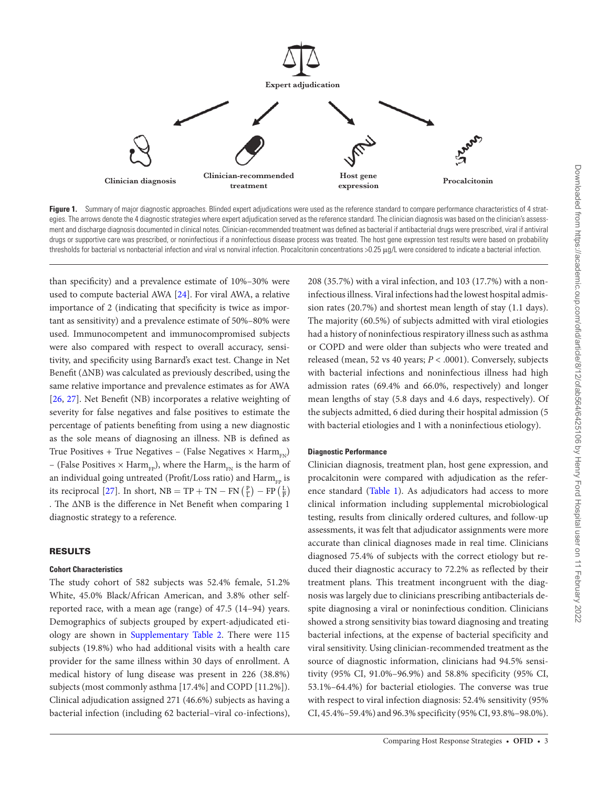

<span id="page-4-0"></span>Figure 1. Summary of major diagnostic approaches. Blinded expert adjudications were used as the reference standard to compare performance characteristics of 4 strategies. The arrows denote the 4 diagnostic strategies where expert adjudication served as the reference standard. The clinician diagnosis was based on the clinician's assessment and discharge diagnosis documented in clinical notes. Clinician-recommended treatment was defined as bacterial if antibacterial drugs were prescribed, viral if antiviral drugs or supportive care was prescribed, or noninfectious if a noninfectious disease process was treated. The host gene expression test results were based on probability thresholds for bacterial vs nonbacterial infection and viral vs nonviral infection. Procalcitonin concentrations >0.25 μq/L were considered to indicate a bacterial infection.

than specificity) and a prevalence estimate of 10%–30% were used to compute bacterial AWA [\[24\]](#page-9-12). For viral AWA, a relative importance of 2 (indicating that specificity is twice as important as sensitivity) and a prevalence estimate of 50%–80% were used. Immunocompetent and immunocompromised subjects were also compared with respect to overall accuracy, sensitivity, and specificity using Barnard's exact test. Change in Net Benefit (∆NB) was calculated as previously described, using the same relative importance and prevalence estimates as for AWA [\[26](#page-9-14), [27\]](#page-9-15). Net Benefit (NB) incorporates a relative weighting of severity for false negatives and false positives to estimate the percentage of patients benefiting from using a new diagnostic as the sole means of diagnosing an illness. NB is defined as True Positives + True Negatives – (False Negatives  $\times$  Harm<sub> $EN$ </sub>) – (False Positives  $\times$  Harm<sub>FP</sub>), where the Harm<sub>FN</sub> is the harm of an individual going untreated (Profit/Loss ratio) and  $\text{Harm}_{\text{FP}}$  is its reciprocal [[27\]](#page-9-15). In short,  $NB = TP + TN - FN\left(\frac{P}{L}\right) - FP\left(\frac{L}{P}\right)$ . The ∆NB is the difference in Net Benefit when comparing 1 diagnostic strategy to a reference.

# RESULTS

#### **Cohort Characteristics**

The study cohort of 582 subjects was 52.4% female, 51.2% White, 45.0% Black/African American, and 3.8% other selfreported race, with a mean age (range) of 47.5 (14–94) years. Demographics of subjects grouped by expert-adjudicated eti-ology are shown in [Supplementary Table 2](http://academic.oup.com/ofid/article-lookup/doi/10.1093/ofid/ofab564#supplementary-data). There were 115 subjects (19.8%) who had additional visits with a health care provider for the same illness within 30 days of enrollment. A medical history of lung disease was present in 226 (38.8%) subjects (most commonly asthma [17.4%] and COPD [11.2%]). Clinical adjudication assigned 271 (46.6%) subjects as having a bacterial infection (including 62 bacterial–viral co-infections), 208 (35.7%) with a viral infection, and 103 (17.7%) with a noninfectious illness. Viral infections had the lowest hospital admission rates (20.7%) and shortest mean length of stay (1.1 days). The majority (60.5%) of subjects admitted with viral etiologies had a history of noninfectious respiratory illness such as asthma or COPD and were older than subjects who were treated and released (mean, 52 vs 40 years; *P* < .0001). Conversely, subjects with bacterial infections and noninfectious illness had high admission rates (69.4% and 66.0%, respectively) and longer mean lengths of stay (5.8 days and 4.6 days, respectively). Of the subjects admitted, 6 died during their hospital admission (5 with bacterial etiologies and 1 with a noninfectious etiology).

# **Diagnostic Performance**

Clinician diagnosis, treatment plan, host gene expression, and procalcitonin were compared with adjudication as the reference standard [\(Table 1\)](#page-5-0). As adjudicators had access to more clinical information including supplemental microbiological testing, results from clinically ordered cultures, and follow-up assessments, it was felt that adjudicator assignments were more accurate than clinical diagnoses made in real time. Clinicians diagnosed 75.4% of subjects with the correct etiology but reduced their diagnostic accuracy to 72.2% as reflected by their treatment plans. This treatment incongruent with the diagnosis was largely due to clinicians prescribing antibacterials despite diagnosing a viral or noninfectious condition. Clinicians showed a strong sensitivity bias toward diagnosing and treating bacterial infections, at the expense of bacterial specificity and viral sensitivity. Using clinician-recommended treatment as the source of diagnostic information, clinicians had 94.5% sensitivity (95% CI, 91.0%–96.9%) and 58.8% specificity (95% CI, 53.1%–64.4%) for bacterial etiologies. The converse was true with respect to viral infection diagnosis: 52.4% sensitivity (95% CI, 45.4%–59.4%) and 96.3% specificity (95% CI, 93.8%–98.0%).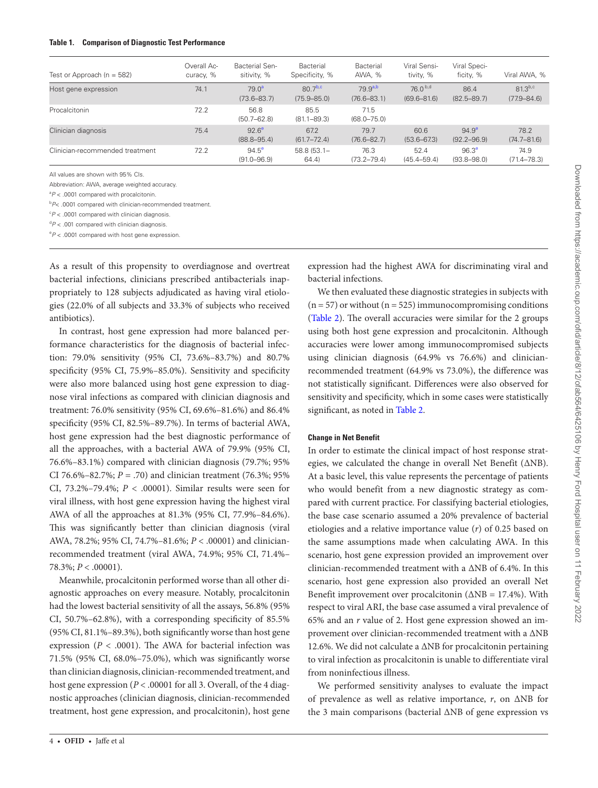#### <span id="page-5-0"></span>**Table 1. Comparison of Diagnostic Test Performance**

| Test or Approach ( $n = 582$ )  | Overall Ac-<br>curacy, % | <b>Bacterial Sen-</b><br>sitivity, % | Bacterial<br>Specificity, %             | Bacterial<br>AWA, %             | Viral Sensi-<br>tivity, %      | Viral Speci-<br>ficity, %            | Viral AWA, %                    |
|---------------------------------|--------------------------|--------------------------------------|-----------------------------------------|---------------------------------|--------------------------------|--------------------------------------|---------------------------------|
| Host gene expression            | 74.1                     | $79.0^a$<br>$(73.6 - 83.7)$          | $807$ <sub>b,c</sub><br>$(75.9 - 85.0)$ | $79.9^{a,b}$<br>$(76.6 - 83.1)$ | $760^{b,d}$<br>$(69.6 - 81.6)$ | 86.4<br>$(82.5 - 89.7)$              | $81.3^{b,c}$<br>$(77.9 - 84.6)$ |
| Procalcitonin                   | 72.2                     | 56.8<br>$(50.7 - 62.8)$              | 85.5<br>$(81.1 - 89.3)$                 | 71.5<br>$(68.0 - 75.0)$         |                                |                                      |                                 |
| Clinician diagnosis             | 75.4                     | 92.6 <sup>e</sup><br>$(88.8 - 95.4)$ | 67.2<br>$(61.7 - 72.4)$                 | 79.7<br>$(76.6 - 82.7)$         | 60.6<br>$(53.6 - 67.3)$        | $94.9^{\circ}$<br>$(92.2 - 96.9)$    | 78.2<br>$(74.7 - 81.6)$         |
| Clinician-recommended treatment | 72.2                     | $94.5^{\circ}$<br>$(91.0 - 96.9)$    | $58.8(53.1 -$<br>64.4                   | 76.3<br>$(73.2 - 79.4)$         | 52.4<br>$(45.4 - 59.4)$        | 96.3 <sup>e</sup><br>$(93.8 - 98.0)$ | 74.9<br>$(71.4 - 78.3)$         |

All values are shown with 95% CIs.

Abbreviation: AWA, average weighted accuracy.

<span id="page-5-1"></span>a *P* < .0001 compared with procalcitonin.

<span id="page-5-2"></span>b *P*< .0001 compared with clinician-recommended treatment.

<span id="page-5-3"></span> $\degree P$  < .0001 compared with clinician diagnosis.

d *P* < .001 compared with clinician diagnosis.

<span id="page-5-4"></span>e *P* < .0001 compared with host gene expression.

As a result of this propensity to overdiagnose and overtreat bacterial infections, clinicians prescribed antibacterials inappropriately to 128 subjects adjudicated as having viral etiologies (22.0% of all subjects and 33.3% of subjects who received antibiotics).

In contrast, host gene expression had more balanced performance characteristics for the diagnosis of bacterial infection: 79.0% sensitivity (95% CI, 73.6%–83.7%) and 80.7% specificity (95% CI, 75.9%–85.0%). Sensitivity and specificity were also more balanced using host gene expression to diagnose viral infections as compared with clinician diagnosis and treatment: 76.0% sensitivity (95% CI, 69.6%–81.6%) and 86.4% specificity (95% CI, 82.5%–89.7%). In terms of bacterial AWA, host gene expression had the best diagnostic performance of all the approaches, with a bacterial AWA of 79.9% (95% CI, 76.6%–83.1%) compared with clinician diagnosis (79.7%; 95% CI 76.6%–82.7%;  $P = .70$ ) and clinician treatment (76.3%; 95%) CI,  $73.2\% - 79.4\%$ ;  $P < .00001$ ). Similar results were seen for viral illness, with host gene expression having the highest viral AWA of all the approaches at 81.3% (95% CI, 77.9%–84.6%). This was significantly better than clinician diagnosis (viral AWA, 78.2%; 95% CI, 74.7%–81.6%; *P* < .00001) and clinicianrecommended treatment (viral AWA, 74.9%; 95% CI, 71.4%–  $78.3\%; P < .00001).$ 

Meanwhile, procalcitonin performed worse than all other diagnostic approaches on every measure. Notably, procalcitonin had the lowest bacterial sensitivity of all the assays, 56.8% (95% CI, 50.7%–62.8%), with a corresponding specificity of 85.5% (95% CI, 81.1%–89.3%), both significantly worse than host gene expression ( $P < .0001$ ). The AWA for bacterial infection was 71.5% (95% CI, 68.0%–75.0%), which was significantly worse than clinician diagnosis, clinician-recommended treatment, and host gene expression (*P* < .00001 for all 3. Overall, of the 4 diagnostic approaches (clinician diagnosis, clinician-recommended treatment, host gene expression, and procalcitonin), host gene

expression had the highest AWA for discriminating viral and bacterial infections.

We then evaluated these diagnostic strategies in subjects with  $(n = 57)$  or without  $(n = 525)$  immunocompromising conditions [\(Table 2\)](#page-6-0). The overall accuracies were similar for the 2 groups using both host gene expression and procalcitonin. Although accuracies were lower among immunocompromised subjects using clinician diagnosis (64.9% vs 76.6%) and clinicianrecommended treatment (64.9% vs 73.0%), the difference was not statistically significant. Differences were also observed for sensitivity and specificity, which in some cases were statistically significant, as noted in [Table 2](#page-6-0).

## **Change in Net Benefit**

In order to estimate the clinical impact of host response strategies, we calculated the change in overall Net Benefit (∆NB). At a basic level, this value represents the percentage of patients who would benefit from a new diagnostic strategy as compared with current practice. For classifying bacterial etiologies, the base case scenario assumed a 20% prevalence of bacterial etiologies and a relative importance value (*r*) of 0.25 based on the same assumptions made when calculating AWA. In this scenario, host gene expression provided an improvement over clinician-recommended treatment with a ∆NB of 6.4%. In this scenario, host gene expression also provided an overall Net Benefit improvement over procalcitonin (∆NB = 17.4%). With respect to viral ARI, the base case assumed a viral prevalence of 65% and an *r* value of 2. Host gene expression showed an improvement over clinician-recommended treatment with a ∆NB 12.6%. We did not calculate a ∆NB for procalcitonin pertaining to viral infection as procalcitonin is unable to differentiate viral from noninfectious illness.

We performed sensitivity analyses to evaluate the impact of prevalence as well as relative importance, *r*, on ∆NB for the 3 main comparisons (bacterial ∆NB of gene expression vs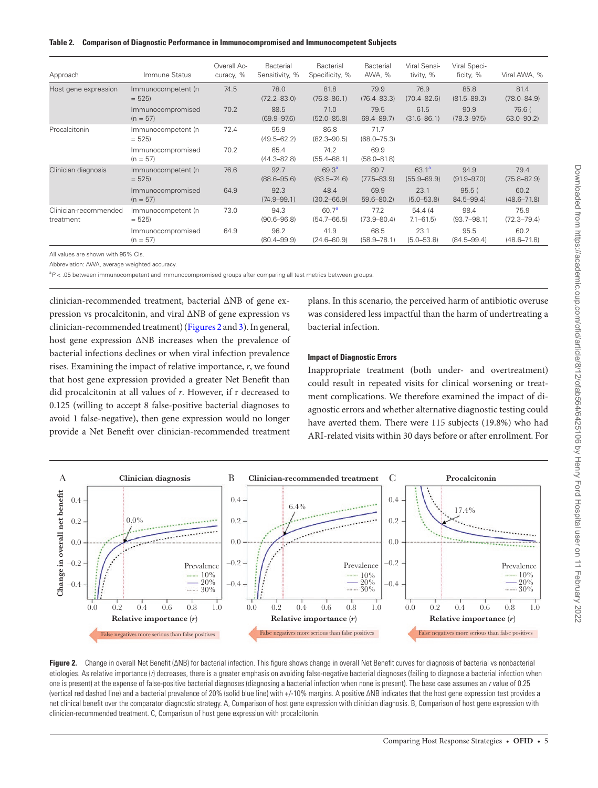<span id="page-6-0"></span>

|  |  |  |  | Table 2. Comparison of Diagnostic Performance in Immunocompromised and Immunocompetent Subjects |
|--|--|--|--|-------------------------------------------------------------------------------------------------|
|--|--|--|--|-------------------------------------------------------------------------------------------------|

| Approach                           | Immune Status                   | Overall Ac-<br>curacy, % | Bacterial<br>Sensitivity, % | Bacterial<br>Specificity, %          | Bacterial<br>AWA, %     | Viral Sensi-<br>tivity, %   | Viral Speci-<br>ficity, % | Viral AWA, %            |
|------------------------------------|---------------------------------|--------------------------|-----------------------------|--------------------------------------|-------------------------|-----------------------------|---------------------------|-------------------------|
| Host gene expression               | Immunocompetent (n<br>$= 525$   | 74.5                     | 78.0<br>$(72.2 - 83.0)$     | 81.8<br>$(76.8 - 86.1)$              | 79.9<br>$(76.4 - 83.3)$ | 76.9<br>$(70.4 - 82.6)$     | 85.8<br>$(81.5 - 89.3)$   | 81.4<br>$(78.0 - 84.9)$ |
|                                    | Immunocompromised<br>$(n = 57)$ | 70.2                     | 88.5<br>$(69.9 - 97.6)$     | 71.0<br>$(52.0 - 85.8)$              | 79.5<br>$69.4 - 89.7$   | 61.5<br>$(31.6 - 86.1)$     | 90.9<br>$(78.3 - 97.5)$   | 76.6(<br>$63.0 - 90.2$  |
| Procalcitonin                      | Immunocompetent (n<br>$= 525$   | 72.4                     | 55.9<br>$(49.5 - 62.2)$     | 86.8<br>$(82.3 - 90.5)$              | 71.7<br>$(68.0 - 75.3)$ |                             |                           |                         |
|                                    | Immunocompromised<br>$(n = 57)$ | 70.2                     | 65.4<br>$(44.3 - 82.8)$     | 74.2<br>$(55.4 - 88.1)$              | 69.9<br>$(58.0 - 81.8)$ |                             |                           |                         |
| Clinician diagnosis                | Immunocompetent (n<br>$= 525$   | 76.6                     | 92.7<br>$(88.6 - 95.6)$     | 69.3 <sup>a</sup><br>$(63.5 - 74.6)$ | 80.7<br>$(77.5 - 83.9)$ | $63.1^a$<br>$(55.9 - 69.9)$ | 94.9<br>$(91.9 - 97.0)$   | 79.4<br>$(75.8 - 82.9)$ |
|                                    | Immunocompromised<br>$(n = 57)$ | 64.9                     | 92.3<br>$(74.9 - 99.1)$     | 48.4<br>$(30.2 - 66.9)$              | 69.9<br>$59.6 - 80.2$   | 23.1<br>$(5.0 - 53.8)$      | 95.5(<br>$84.5 - 99.4$    | 60.2<br>$(48.6 - 71.8)$ |
| Clinician-recommended<br>treatment | Immunocompetent (n<br>$= 525$   | 73.0                     | 94.3<br>$(90.6 - 96.8)$     | 60.7 <sup>a</sup><br>$(54.7 - 66.5)$ | 77.2<br>$(73.9 - 80.4)$ | 54.4 (4)<br>$7.1 - 61.5$    | 98.4<br>$(93.7 - 98.1)$   | 75.9<br>$(72.3 - 79.4)$ |
|                                    | Immunocompromised<br>$(n = 57)$ | 64.9                     | 96.2<br>$(80.4 - 99.9)$     | 41.9<br>$(24.6 - 60.9)$              | 68.5<br>$(58.9 - 78.1)$ | 23.1<br>$(5.0 - 53.8)$      | 95.5<br>$(84.5 - 99.4)$   | 60.2<br>$(48.6 - 71.8)$ |

All values are shown with 95% CIs.

Abbreviation: AWA, average weighted accuracy.

<span id="page-6-1"></span><sup>a</sup>P < .05 between immunocompetent and immunocompromised groups after comparing all test metrics between groups.

clinician-recommended treatment, bacterial ∆NB of gene expression vs procalcitonin, and viral ∆NB of gene expression vs clinician-recommended treatment) [\(Figures 2](#page-6-2) and [3\)](#page-7-0). In general, host gene expression ∆NB increases when the prevalence of bacterial infections declines or when viral infection prevalence rises. Examining the impact of relative importance, *r*, we found that host gene expression provided a greater Net Benefit than did procalcitonin at all values of *r*. However, if r decreased to 0.125 (willing to accept 8 false-positive bacterial diagnoses to avoid 1 false-negative), then gene expression would no longer provide a Net Benefit over clinician-recommended treatment

plans. In this scenario, the perceived harm of antibiotic overuse was considered less impactful than the harm of undertreating a bacterial infection.

#### **Impact of Diagnostic Errors**

Inappropriate treatment (both under- and overtreatment) could result in repeated visits for clinical worsening or treatment complications. We therefore examined the impact of diagnostic errors and whether alternative diagnostic testing could have averted them. There were 115 subjects (19.8%) who had ARI-related visits within 30 days before or after enrollment. For



<span id="page-6-2"></span>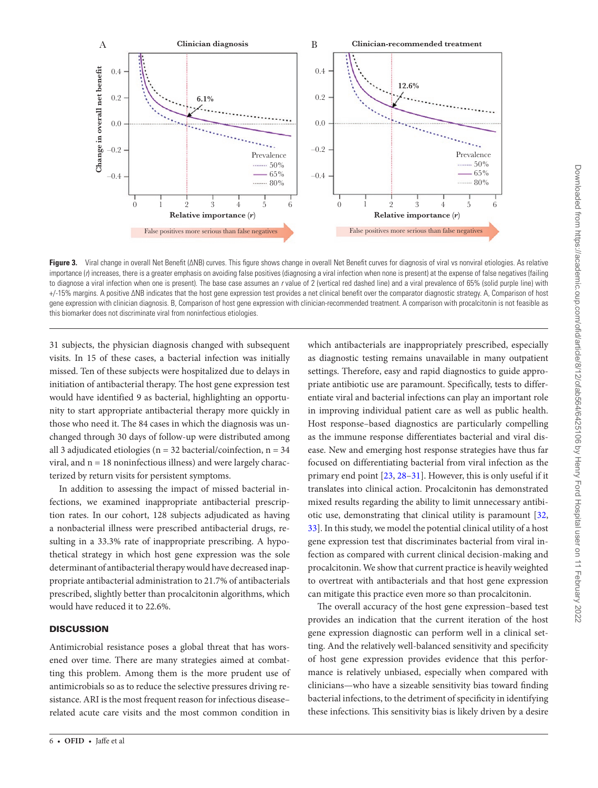

<span id="page-7-0"></span>**Figure 3.** Viral change in overall Net Benefit (∆NB) curves. This figure shows change in overall Net Benefit curves for diagnosis of viral vs nonviral etiologies. As relative importance (*r*) increases, there is a greater emphasis on avoiding false positives (diagnosing a viral infection when none is present) at the expense of false negatives (failing to diagnose a viral infection when one is present). The base case assumes an *r* value of 2 (vertical red dashed line) and a viral prevalence of 65% (solid purple line) with +/-15% margins. A positive ∆NB indicates that the host gene expression test provides a net clinical benefit over the comparator diagnostic strategy. A, Comparison of host gene expression with clinician diagnosis. B, Comparison of host gene expression with clinician-recommended treatment. A comparison with procalcitonin is not feasible as this biomarker does not discriminate viral from noninfectious etiologies.

31 subjects, the physician diagnosis changed with subsequent visits. In 15 of these cases, a bacterial infection was initially missed. Ten of these subjects were hospitalized due to delays in initiation of antibacterial therapy. The host gene expression test would have identified 9 as bacterial, highlighting an opportunity to start appropriate antibacterial therapy more quickly in those who need it. The 84 cases in which the diagnosis was unchanged through 30 days of follow-up were distributed among all 3 adjudicated etiologies ( $n = 32$  bacterial/coinfection,  $n = 34$ viral, and  $n = 18$  noninfectious illness) and were largely characterized by return visits for persistent symptoms.

In addition to assessing the impact of missed bacterial infections, we examined inappropriate antibacterial prescription rates. In our cohort, 128 subjects adjudicated as having a nonbacterial illness were prescribed antibacterial drugs, resulting in a 33.3% rate of inappropriate prescribing. A hypothetical strategy in which host gene expression was the sole determinant of antibacterial therapy would have decreased inappropriate antibacterial administration to 21.7% of antibacterials prescribed, slightly better than procalcitonin algorithms, which would have reduced it to 22.6%.

# **DISCUSSION**

Antimicrobial resistance poses a global threat that has worsened over time. There are many strategies aimed at combatting this problem. Among them is the more prudent use of antimicrobials so as to reduce the selective pressures driving resistance. ARI is the most frequent reason for infectious disease– related acute care visits and the most common condition in

6 • **OFID** • Jaffe et al

which antibacterials are inappropriately prescribed, especially as diagnostic testing remains unavailable in many outpatient settings. Therefore, easy and rapid diagnostics to guide appropriate antibiotic use are paramount. Specifically, tests to differentiate viral and bacterial infections can play an important role in improving individual patient care as well as public health. Host response–based diagnostics are particularly compelling as the immune response differentiates bacterial and viral disease. New and emerging host response strategies have thus far focused on differentiating bacterial from viral infection as the primary end point [\[23](#page-9-11), [28–](#page-9-16)[31\]](#page-9-17). However, this is only useful if it translates into clinical action. Procalcitonin has demonstrated mixed results regarding the ability to limit unnecessary antibiotic use, demonstrating that clinical utility is paramount [[32,](#page-9-18) [33](#page-9-19)]. In this study, we model the potential clinical utility of a host gene expression test that discriminates bacterial from viral infection as compared with current clinical decision-making and procalcitonin. We show that current practice is heavily weighted to overtreat with antibacterials and that host gene expression can mitigate this practice even more so than procalcitonin.

The overall accuracy of the host gene expression–based test provides an indication that the current iteration of the host gene expression diagnostic can perform well in a clinical setting. And the relatively well-balanced sensitivity and specificity of host gene expression provides evidence that this performance is relatively unbiased, especially when compared with clinicians—who have a sizeable sensitivity bias toward finding bacterial infections, to the detriment of specificity in identifying these infections. This sensitivity bias is likely driven by a desire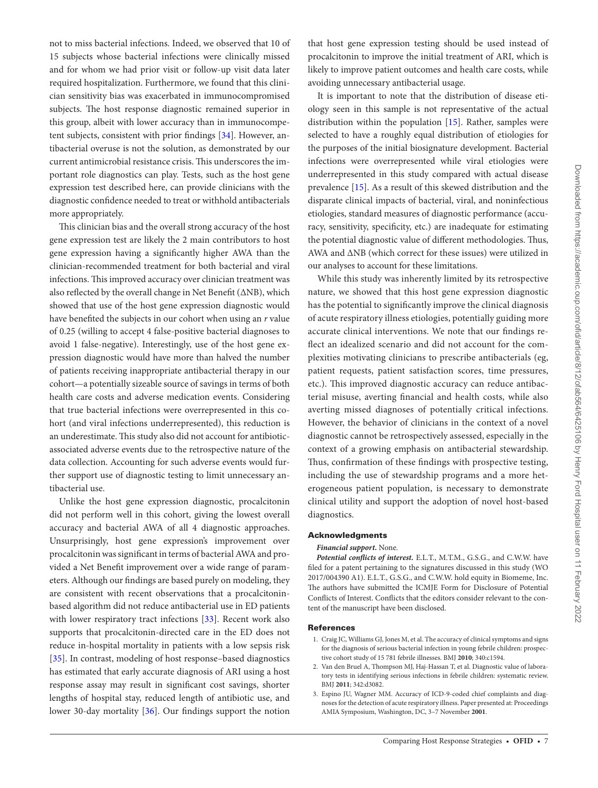not to miss bacterial infections. Indeed, we observed that 10 of 15 subjects whose bacterial infections were clinically missed and for whom we had prior visit or follow-up visit data later required hospitalization. Furthermore, we found that this clinician sensitivity bias was exacerbated in immunocompromised subjects. The host response diagnostic remained superior in this group, albeit with lower accuracy than in immunocompetent subjects, consistent with prior findings [[34](#page-9-20)]. However, antibacterial overuse is not the solution, as demonstrated by our current antimicrobial resistance crisis. This underscores the important role diagnostics can play. Tests, such as the host gene expression test described here, can provide clinicians with the diagnostic confidence needed to treat or withhold antibacterials more appropriately.

This clinician bias and the overall strong accuracy of the host gene expression test are likely the 2 main contributors to host gene expression having a significantly higher AWA than the clinician-recommended treatment for both bacterial and viral infections. This improved accuracy over clinician treatment was also reflected by the overall change in Net Benefit (∆NB), which showed that use of the host gene expression diagnostic would have benefited the subjects in our cohort when using an *r* value of 0.25 (willing to accept 4 false-positive bacterial diagnoses to avoid 1 false-negative). Interestingly, use of the host gene expression diagnostic would have more than halved the number of patients receiving inappropriate antibacterial therapy in our cohort—a potentially sizeable source of savings in terms of both health care costs and adverse medication events. Considering that true bacterial infections were overrepresented in this cohort (and viral infections underrepresented), this reduction is an underestimate. This study also did not account for antibioticassociated adverse events due to the retrospective nature of the data collection. Accounting for such adverse events would further support use of diagnostic testing to limit unnecessary antibacterial use.

Unlike the host gene expression diagnostic, procalcitonin did not perform well in this cohort, giving the lowest overall accuracy and bacterial AWA of all 4 diagnostic approaches. Unsurprisingly, host gene expression's improvement over procalcitonin was significant in terms of bacterial AWA and provided a Net Benefit improvement over a wide range of parameters. Although our findings are based purely on modeling, they are consistent with recent observations that a procalcitoninbased algorithm did not reduce antibacterial use in ED patients with lower respiratory tract infections [\[33](#page-9-19)]. Recent work also supports that procalcitonin-directed care in the ED does not reduce in-hospital mortality in patients with a low sepsis risk [\[35](#page-9-21)]. In contrast, modeling of host response–based diagnostics has estimated that early accurate diagnosis of ARI using a host response assay may result in significant cost savings, shorter lengths of hospital stay, reduced length of antibiotic use, and lower 30-day mortality [\[36](#page-9-22)]. Our findings support the notion

that host gene expression testing should be used instead of procalcitonin to improve the initial treatment of ARI, which is likely to improve patient outcomes and health care costs, while avoiding unnecessary antibacterial usage.

It is important to note that the distribution of disease etiology seen in this sample is not representative of the actual distribution within the population [[15\]](#page-9-7). Rather, samples were selected to have a roughly equal distribution of etiologies for the purposes of the initial biosignature development. Bacterial infections were overrepresented while viral etiologies were underrepresented in this study compared with actual disease prevalence [\[15\]](#page-9-7). As a result of this skewed distribution and the disparate clinical impacts of bacterial, viral, and noninfectious etiologies, standard measures of diagnostic performance (accuracy, sensitivity, specificity, etc.) are inadequate for estimating the potential diagnostic value of different methodologies. Thus, AWA and ∆NB (which correct for these issues) were utilized in our analyses to account for these limitations.

While this study was inherently limited by its retrospective nature, we showed that this host gene expression diagnostic has the potential to significantly improve the clinical diagnosis of acute respiratory illness etiologies, potentially guiding more accurate clinical interventions. We note that our findings reflect an idealized scenario and did not account for the complexities motivating clinicians to prescribe antibacterials (eg, patient requests, patient satisfaction scores, time pressures, etc.). This improved diagnostic accuracy can reduce antibacterial misuse, averting financial and health costs, while also averting missed diagnoses of potentially critical infections. However, the behavior of clinicians in the context of a novel diagnostic cannot be retrospectively assessed, especially in the context of a growing emphasis on antibacterial stewardship. Thus, confirmation of these findings with prospective testing, including the use of stewardship programs and a more heterogeneous patient population, is necessary to demonstrate clinical utility and support the adoption of novel host-based diagnostics.

#### Acknowledgments

#### *Financial support***.** None.

*Potential conflicts of interest.* E.L.T., M.T.M., G.S.G., and C.W.W. have filed for a patent pertaining to the signatures discussed in this study (WO 2017/004390 A1). E.L.T., G.S.G., and C.W.W. hold equity in Biomeme, Inc. The authors have submitted the ICMJE Form for Disclosure of Potential Conflicts of Interest. Conflicts that the editors consider relevant to the content of the manuscript have been disclosed.

#### References

- <span id="page-8-0"></span>1. Craig JC, Williams GJ, Jones M, et al. The accuracy of clinical symptoms and signs for the diagnosis of serious bacterial infection in young febrile children: prospective cohort study of 15 781 febrile illnesses. BMJ **2010**; 340:c1594.
- 2. Van den Bruel A, Thompson MJ, Haj-Hassan T, et al. Diagnostic value of laboratory tests in identifying serious infections in febrile children: systematic review. BMJ **2011**; 342:d3082.
- 3. Espino JU, Wagner MM. Accuracy of ICD-9-coded chief complaints and diagnoses for the detection of acute respiratory illness. Paper presented at: Proceedings AMIA Symposium, Washington, DC, 3–7 November **2001**.